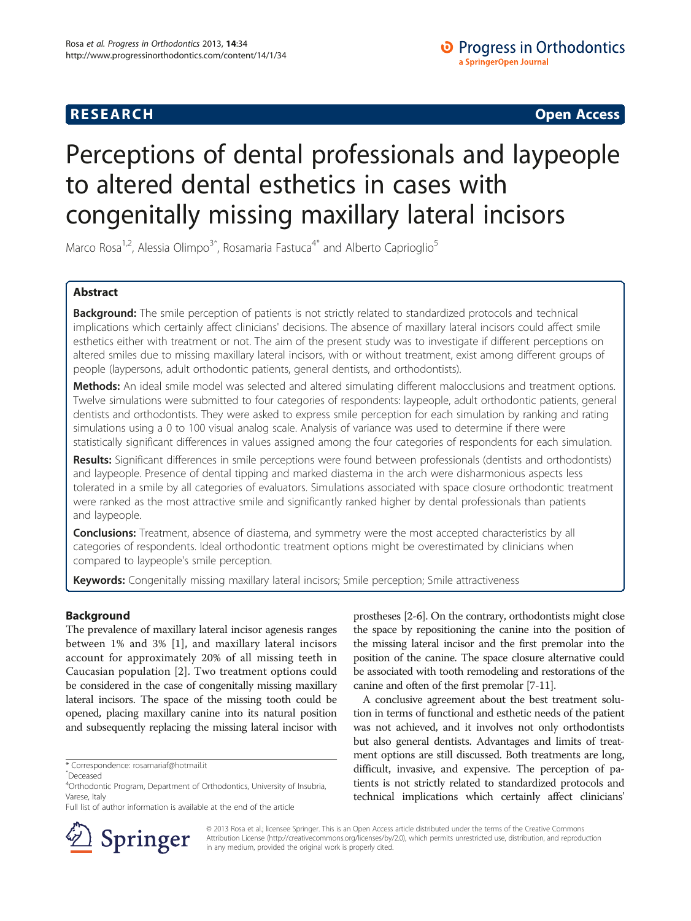## **RESEARCH CHINESE ARCH CHINESE ARCH CHINESE ARCH <b>CHINESE ARCH**

# Perceptions of dental professionals and laypeople to altered dental esthetics in cases with congenitally missing maxillary lateral incisors

Marco Rosa<sup>1,2</sup>, Alessia Olimpo<sup>3</sup><sup>^</sup>, Rosamaria Fastuca<sup>4\*</sup> and Alberto Caprioglio<sup>5</sup>

## Abstract

Background: The smile perception of patients is not strictly related to standardized protocols and technical implications which certainly affect clinicians' decisions. The absence of maxillary lateral incisors could affect smile esthetics either with treatment or not. The aim of the present study was to investigate if different perceptions on altered smiles due to missing maxillary lateral incisors, with or without treatment, exist among different groups of people (laypersons, adult orthodontic patients, general dentists, and orthodontists).

Methods: An ideal smile model was selected and altered simulating different malocclusions and treatment options. Twelve simulations were submitted to four categories of respondents: laypeople, adult orthodontic patients, general dentists and orthodontists. They were asked to express smile perception for each simulation by ranking and rating simulations using a 0 to 100 visual analog scale. Analysis of variance was used to determine if there were statistically significant differences in values assigned among the four categories of respondents for each simulation.

Results: Significant differences in smile perceptions were found between professionals (dentists and orthodontists) and laypeople. Presence of dental tipping and marked diastema in the arch were disharmonious aspects less tolerated in a smile by all categories of evaluators. Simulations associated with space closure orthodontic treatment were ranked as the most attractive smile and significantly ranked higher by dental professionals than patients and laypeople.

**Conclusions:** Treatment, absence of diastema, and symmetry were the most accepted characteristics by all categories of respondents. Ideal orthodontic treatment options might be overestimated by clinicians when compared to laypeople's smile perception.

Keywords: Congenitally missing maxillary lateral incisors; Smile perception; Smile attractiveness

## Background

The prevalence of maxillary lateral incisor agenesis ranges between 1% and 3% [[1](#page-6-0)], and maxillary lateral incisors account for approximately 20% of all missing teeth in Caucasian population [[2\]](#page-6-0). Two treatment options could be considered in the case of congenitally missing maxillary lateral incisors. The space of the missing tooth could be opened, placing maxillary canine into its natural position and subsequently replacing the missing lateral incisor with prostheses [\[2-6\]](#page-6-0). On the contrary, orthodontists might close the space by repositioning the canine into the position of the missing lateral incisor and the first premolar into the position of the canine. The space closure alternative could be associated with tooth remodeling and restorations of the canine and often of the first premolar [[7-11](#page-6-0)].

A conclusive agreement about the best treatment solution in terms of functional and esthetic needs of the patient was not achieved, and it involves not only orthodontists but also general dentists. Advantages and limits of treatment options are still discussed. Both treatments are long, difficult, invasive, and expensive. The perception of patients is not strictly related to standardized protocols and technical implications which certainly affect clinicians'



© 2013 Rosa et al.; licensee Springer. This is an Open Access article distributed under the terms of the Creative Commons Attribution License [\(http://creativecommons.org/licenses/by/2.0\)](http://creativecommons.org/licenses/by/2.0), which permits unrestricted use, distribution, and reproduction in any medium, provided the original work is properly cited.

<sup>\*</sup> Correspondence: [rosamariaf@hotmail.it](mailto:rosamariaf@hotmail.it)

ˆDeceased

<sup>4</sup> Orthodontic Program, Department of Orthodontics, University of Insubria, Varese, Italy

Full list of author information is available at the end of the article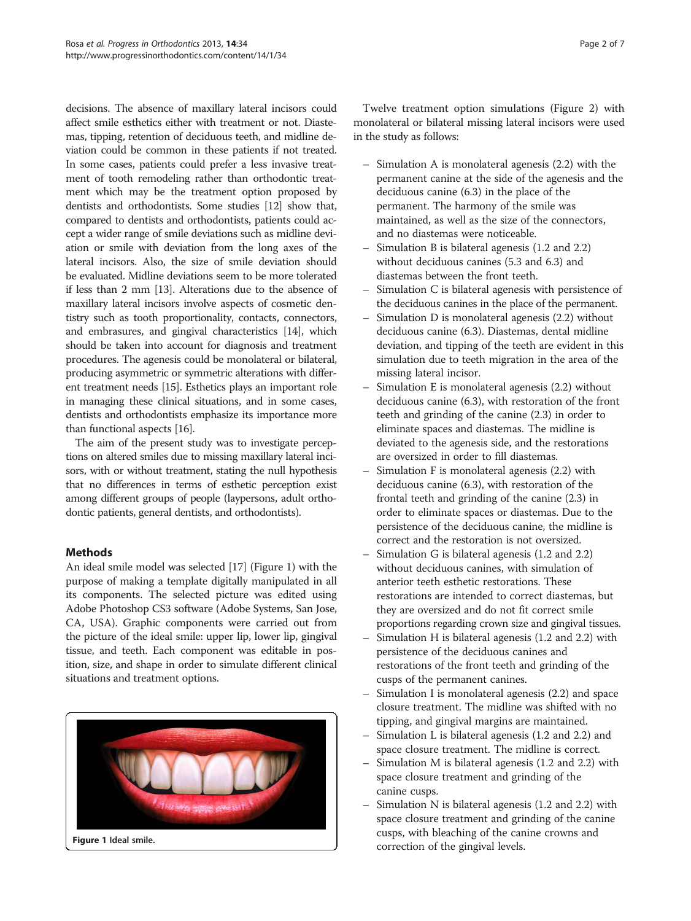decisions. The absence of maxillary lateral incisors could affect smile esthetics either with treatment or not. Diastemas, tipping, retention of deciduous teeth, and midline deviation could be common in these patients if not treated. In some cases, patients could prefer a less invasive treatment of tooth remodeling rather than orthodontic treatment which may be the treatment option proposed by dentists and orthodontists. Some studies [\[12](#page-6-0)] show that, compared to dentists and orthodontists, patients could accept a wider range of smile deviations such as midline deviation or smile with deviation from the long axes of the lateral incisors. Also, the size of smile deviation should be evaluated. Midline deviations seem to be more tolerated if less than 2 mm [\[13\]](#page-6-0). Alterations due to the absence of maxillary lateral incisors involve aspects of cosmetic dentistry such as tooth proportionality, contacts, connectors, and embrasures, and gingival characteristics [\[14\]](#page-6-0), which should be taken into account for diagnosis and treatment procedures. The agenesis could be monolateral or bilateral, producing asymmetric or symmetric alterations with different treatment needs [\[15\]](#page-6-0). Esthetics plays an important role in managing these clinical situations, and in some cases, dentists and orthodontists emphasize its importance more than functional aspects [\[16\]](#page-6-0).

The aim of the present study was to investigate perceptions on altered smiles due to missing maxillary lateral incisors, with or without treatment, stating the null hypothesis that no differences in terms of esthetic perception exist among different groups of people (laypersons, adult orthodontic patients, general dentists, and orthodontists).

## **Methods**

An ideal smile model was selected [\[17\]](#page-6-0) (Figure 1) with the purpose of making a template digitally manipulated in all its components. The selected picture was edited using Adobe Photoshop CS3 software (Adobe Systems, San Jose, CA, USA). Graphic components were carried out from the picture of the ideal smile: upper lip, lower lip, gingival tissue, and teeth. Each component was editable in position, size, and shape in order to simulate different clinical situations and treatment options.



Twelve treatment option simulations (Figure [2\)](#page-2-0) with monolateral or bilateral missing lateral incisors were used in the study as follows:

- Simulation A is monolateral agenesis (2.2) with the permanent canine at the side of the agenesis and the deciduous canine (6.3) in the place of the permanent. The harmony of the smile was maintained, as well as the size of the connectors, and no diastemas were noticeable.
- Simulation B is bilateral agenesis (1.2 and 2.2) without deciduous canines (5.3 and 6.3) and diastemas between the front teeth.
- Simulation C is bilateral agenesis with persistence of the deciduous canines in the place of the permanent.
- Simulation D is monolateral agenesis (2.2) without deciduous canine (6.3). Diastemas, dental midline deviation, and tipping of the teeth are evident in this simulation due to teeth migration in the area of the missing lateral incisor.
- Simulation E is monolateral agenesis (2.2) without deciduous canine (6.3), with restoration of the front teeth and grinding of the canine (2.3) in order to eliminate spaces and diastemas. The midline is deviated to the agenesis side, and the restorations are oversized in order to fill diastemas.
- Simulation F is monolateral agenesis (2.2) with deciduous canine (6.3), with restoration of the frontal teeth and grinding of the canine (2.3) in order to eliminate spaces or diastemas. Due to the persistence of the deciduous canine, the midline is correct and the restoration is not oversized.
- Simulation G is bilateral agenesis (1.2 and 2.2) without deciduous canines, with simulation of anterior teeth esthetic restorations. These restorations are intended to correct diastemas, but they are oversized and do not fit correct smile proportions regarding crown size and gingival tissues.
- Simulation H is bilateral agenesis (1.2 and 2.2) with persistence of the deciduous canines and restorations of the front teeth and grinding of the cusps of the permanent canines.
- Simulation I is monolateral agenesis (2.2) and space closure treatment. The midline was shifted with no tipping, and gingival margins are maintained.
- Simulation L is bilateral agenesis (1.2 and 2.2) and space closure treatment. The midline is correct.
- Simulation M is bilateral agenesis (1.2 and 2.2) with space closure treatment and grinding of the canine cusps.
- Simulation N is bilateral agenesis (1.2 and 2.2) with space closure treatment and grinding of the canine cusps, with bleaching of the canine crowns and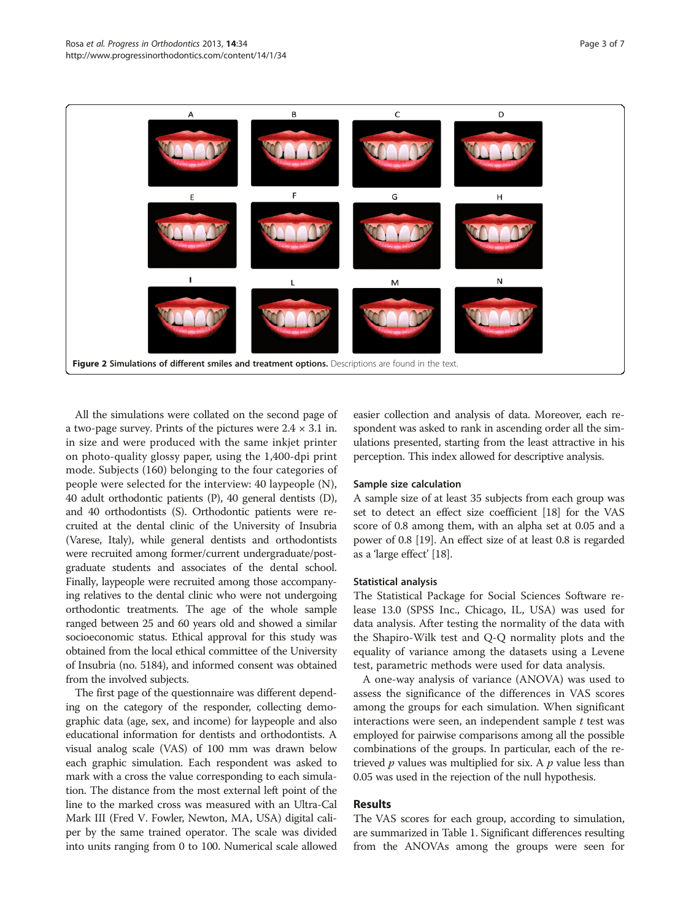<span id="page-2-0"></span>

All the simulations were collated on the second page of a two-page survey. Prints of the pictures were  $2.4 \times 3.1$  in. in size and were produced with the same inkjet printer on photo-quality glossy paper, using the 1,400-dpi print mode. Subjects (160) belonging to the four categories of people were selected for the interview: 40 laypeople (N), 40 adult orthodontic patients (P), 40 general dentists (D), and 40 orthodontists (S). Orthodontic patients were recruited at the dental clinic of the University of Insubria (Varese, Italy), while general dentists and orthodontists were recruited among former/current undergraduate/postgraduate students and associates of the dental school. Finally, laypeople were recruited among those accompanying relatives to the dental clinic who were not undergoing orthodontic treatments. The age of the whole sample ranged between 25 and 60 years old and showed a similar socioeconomic status. Ethical approval for this study was obtained from the local ethical committee of the University of Insubria (no. 5184), and informed consent was obtained from the involved subjects.

The first page of the questionnaire was different depending on the category of the responder, collecting demographic data (age, sex, and income) for laypeople and also educational information for dentists and orthodontists. A visual analog scale (VAS) of 100 mm was drawn below each graphic simulation. Each respondent was asked to mark with a cross the value corresponding to each simulation. The distance from the most external left point of the line to the marked cross was measured with an Ultra-Cal Mark III (Fred V. Fowler, Newton, MA, USA) digital caliper by the same trained operator. The scale was divided into units ranging from 0 to 100. Numerical scale allowed easier collection and analysis of data. Moreover, each respondent was asked to rank in ascending order all the simulations presented, starting from the least attractive in his perception. This index allowed for descriptive analysis.

#### Sample size calculation

A sample size of at least 35 subjects from each group was set to detect an effect size coefficient [[18](#page-6-0)] for the VAS score of 0.8 among them, with an alpha set at 0.05 and a power of 0.8 [\[19\]](#page-6-0). An effect size of at least 0.8 is regarded as a 'large effect' [\[18\]](#page-6-0).

#### Statistical analysis

The Statistical Package for Social Sciences Software release 13.0 (SPSS Inc., Chicago, IL, USA) was used for data analysis. After testing the normality of the data with the Shapiro-Wilk test and Q-Q normality plots and the equality of variance among the datasets using a Levene test, parametric methods were used for data analysis.

A one-way analysis of variance (ANOVA) was used to assess the significance of the differences in VAS scores among the groups for each simulation. When significant interactions were seen, an independent sample  $t$  test was employed for pairwise comparisons among all the possible combinations of the groups. In particular, each of the retrieved  $p$  values was multiplied for six. A  $p$  value less than 0.05 was used in the rejection of the null hypothesis.

## Results

The VAS scores for each group, according to simulation, are summarized in Table [1.](#page-3-0) Significant differences resulting from the ANOVAs among the groups were seen for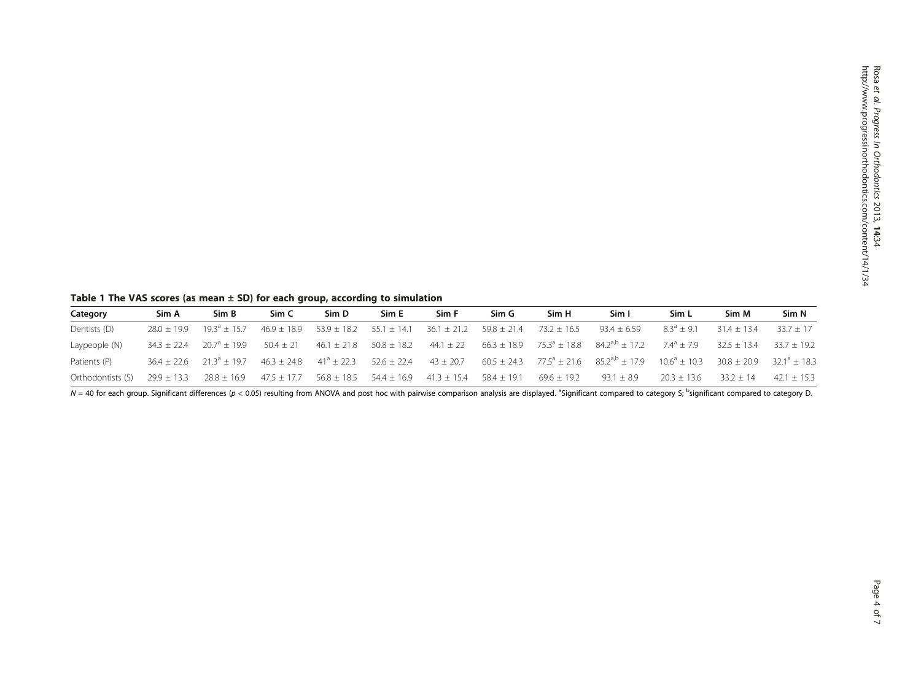<span id="page-3-0"></span>Table 1 The VAS scores (as mean  $\pm$  SD) for each group, according to simulation

| Category          | Sim A           | Sim B                               | Sim C           | Sim D           | Sim E           | Sim F           | Sim G           | Sim H                   | <b>Sim</b>                                                                      | Sim L                   | Sim M         | Sim N                 |
|-------------------|-----------------|-------------------------------------|-----------------|-----------------|-----------------|-----------------|-----------------|-------------------------|---------------------------------------------------------------------------------|-------------------------|---------------|-----------------------|
| Dentists (D)      | $78.0 + 19.9$   | $193^a + 157$                       | $46.9 + 18.9$   | $53.9 \pm 18.2$ | $55.1 \pm 14.1$ | $36.1 \pm 21.2$ | $59.8 \pm 21.4$ | $73.2 + 16.5$           | $93.4 + 6.59$                                                                   | $83^a + 91$             | $31.4 + 13.4$ | $33.7 + 17$           |
| Laypeople (N)     | $34.3 \pm 22.4$ | $20.7^a + 19.9$                     | $50.4 \pm 21$   | $46.1 \pm 21.8$ | $50.8 \pm 18.2$ | $44.1 \pm 22$   | $66.3 \pm 18.9$ | $75.3^{\circ} \pm 18.8$ | $84.2^{a,b} \pm 17.2$                                                           | $7.4^{\rm a}$ + 7.9     | $32.5 + 13.4$ | $33.7 + 19.2$         |
| Patients (P)      |                 | $36.4 + 22.6$ $21.3^{\circ} + 19.7$ | $46.3 + 24.8$   | $41^a + 22.3$   | $52.6 \pm 22.4$ | $43 \pm 20.7$   |                 |                         | $60.5 \pm 24.3$ $77.5^{\circ} \pm 21.6$ $85.2^{\circ}$ , $6.2^{\circ} \pm 17.9$ | $10.6^{\circ} \pm 10.3$ | $30.8 + 20.9$ | $32.1^{\circ}$ ± 18.3 |
| Orthodontists (S) | $29.9 \pm 13.3$ | $28.8 + 16.9$                       | $47.5 \pm 17.7$ | $56.8 \pm 18.5$ | $54.4 \pm 16.9$ | $41.3 + 15.4$   | $58.4 \pm 19.1$ | $69.6 + 19.2$           | $93.1 + 8.9$                                                                    | $20.3 + 13.6$           | $332 + 14$    | $42.1 + 15.3$         |

 $N = 40$  for each group. Significant differences (p < 0.05) resulting from ANOVA and post hoc with pairwise comparison analysis are displayed. <sup>a</sup>Significant compared to category S; <sup>b</sup>significant compared to category D.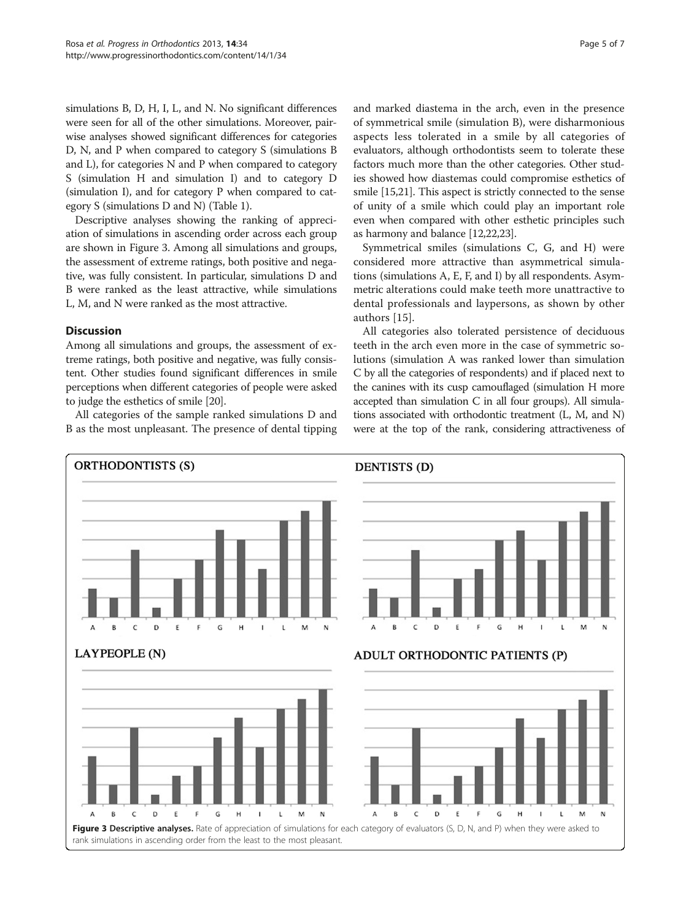simulations B, D, H, I, L, and N. No significant differences were seen for all of the other simulations. Moreover, pairwise analyses showed significant differences for categories D, N, and P when compared to category S (simulations B and L), for categories N and P when compared to category S (simulation H and simulation I) and to category D (simulation I), and for category P when compared to category S (simulations D and N) (Table [1\)](#page-3-0).

Descriptive analyses showing the ranking of appreciation of simulations in ascending order across each group are shown in Figure 3. Among all simulations and groups, the assessment of extreme ratings, both positive and negative, was fully consistent. In particular, simulations D and B were ranked as the least attractive, while simulations L, M, and N were ranked as the most attractive.

### **Discussion**

Among all simulations and groups, the assessment of extreme ratings, both positive and negative, was fully consistent. Other studies found significant differences in smile perceptions when different categories of people were asked to judge the esthetics of smile [\[20\]](#page-6-0).

All categories of the sample ranked simulations D and B as the most unpleasant. The presence of dental tipping and marked diastema in the arch, even in the presence of symmetrical smile (simulation B), were disharmonious aspects less tolerated in a smile by all categories of evaluators, although orthodontists seem to tolerate these factors much more than the other categories. Other studies showed how diastemas could compromise esthetics of smile [\[15,21\]](#page-6-0). This aspect is strictly connected to the sense of unity of a smile which could play an important role even when compared with other esthetic principles such as harmony and balance [\[12,22](#page-6-0),[23](#page-6-0)].

Symmetrical smiles (simulations C, G, and H) were considered more attractive than asymmetrical simulations (simulations A, E, F, and I) by all respondents. Asymmetric alterations could make teeth more unattractive to dental professionals and laypersons, as shown by other authors [[15](#page-6-0)].

All categories also tolerated persistence of deciduous teeth in the arch even more in the case of symmetric solutions (simulation A was ranked lower than simulation C by all the categories of respondents) and if placed next to the canines with its cusp camouflaged (simulation H more accepted than simulation C in all four groups). All simulations associated with orthodontic treatment (L, M, and N) were at the top of the rank, considering attractiveness of

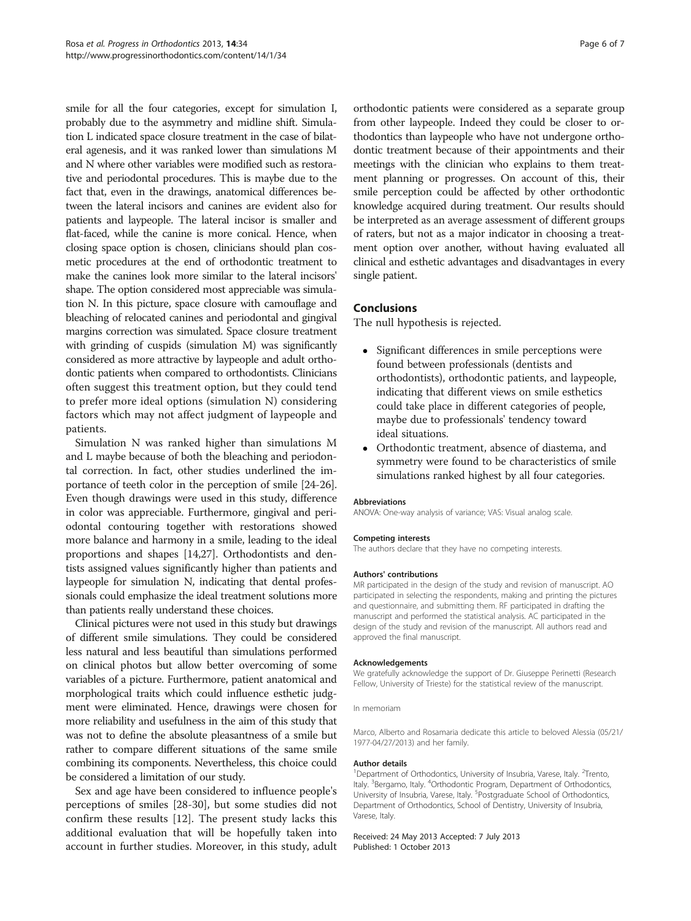smile for all the four categories, except for simulation I, probably due to the asymmetry and midline shift. Simulation L indicated space closure treatment in the case of bilateral agenesis, and it was ranked lower than simulations M and N where other variables were modified such as restorative and periodontal procedures. This is maybe due to the fact that, even in the drawings, anatomical differences between the lateral incisors and canines are evident also for patients and laypeople. The lateral incisor is smaller and flat-faced, while the canine is more conical. Hence, when closing space option is chosen, clinicians should plan cosmetic procedures at the end of orthodontic treatment to make the canines look more similar to the lateral incisors' shape. The option considered most appreciable was simulation N. In this picture, space closure with camouflage and bleaching of relocated canines and periodontal and gingival margins correction was simulated. Space closure treatment with grinding of cuspids (simulation M) was significantly considered as more attractive by laypeople and adult orthodontic patients when compared to orthodontists. Clinicians often suggest this treatment option, but they could tend to prefer more ideal options (simulation N) considering factors which may not affect judgment of laypeople and patients.

Simulation N was ranked higher than simulations M and L maybe because of both the bleaching and periodontal correction. In fact, other studies underlined the importance of teeth color in the perception of smile [[24](#page-6-0)-[26](#page-6-0)]. Even though drawings were used in this study, difference in color was appreciable. Furthermore, gingival and periodontal contouring together with restorations showed more balance and harmony in a smile, leading to the ideal proportions and shapes [\[14,27\]](#page-6-0). Orthodontists and dentists assigned values significantly higher than patients and laypeople for simulation N, indicating that dental professionals could emphasize the ideal treatment solutions more than patients really understand these choices.

Clinical pictures were not used in this study but drawings of different smile simulations. They could be considered less natural and less beautiful than simulations performed on clinical photos but allow better overcoming of some variables of a picture. Furthermore, patient anatomical and morphological traits which could influence esthetic judgment were eliminated. Hence, drawings were chosen for more reliability and usefulness in the aim of this study that was not to define the absolute pleasantness of a smile but rather to compare different situations of the same smile combining its components. Nevertheless, this choice could be considered a limitation of our study.

Sex and age have been considered to influence people's perceptions of smiles [\[28](#page-6-0)-[30](#page-6-0)], but some studies did not confirm these results [\[12\]](#page-6-0). The present study lacks this additional evaluation that will be hopefully taken into account in further studies. Moreover, in this study, adult

orthodontic patients were considered as a separate group from other laypeople. Indeed they could be closer to orthodontics than laypeople who have not undergone orthodontic treatment because of their appointments and their meetings with the clinician who explains to them treatment planning or progresses. On account of this, their smile perception could be affected by other orthodontic knowledge acquired during treatment. Our results should be interpreted as an average assessment of different groups of raters, but not as a major indicator in choosing a treatment option over another, without having evaluated all clinical and esthetic advantages and disadvantages in every single patient.

## Conclusions

The null hypothesis is rejected.

- Significant differences in smile perceptions were found between professionals (dentists and orthodontists), orthodontic patients, and laypeople, indicating that different views on smile esthetics could take place in different categories of people, maybe due to professionals' tendency toward ideal situations.
- Orthodontic treatment, absence of diastema, and symmetry were found to be characteristics of smile simulations ranked highest by all four categories.

#### Abbreviations

ANOVA: One-way analysis of variance; VAS: Visual analog scale.

#### Competing interests

The authors declare that they have no competing interests.

#### Authors' contributions

MR participated in the design of the study and revision of manuscript. AO participated in selecting the respondents, making and printing the pictures and questionnaire, and submitting them. RF participated in drafting the manuscript and performed the statistical analysis. AC participated in the design of the study and revision of the manuscript. All authors read and approved the final manuscript.

#### Acknowledgements

We gratefully acknowledge the support of Dr. Giuseppe Perinetti (Research Fellow, University of Trieste) for the statistical review of the manuscript.

#### In memoriam

Marco, Alberto and Rosamaria dedicate this article to beloved Alessia (05/21/ 1977-04/27/2013) and her family.

#### Author details

<sup>1</sup>Department of Orthodontics, University of Insubria, Varese, Italy. <sup>2</sup>Trento, Italy. <sup>3</sup>Bergamo, Italy. <sup>4</sup>Orthodontic Program, Department of Orthodontics, University of Insubria, Varese, Italy. <sup>5</sup>Postgraduate School of Orthodontics, Department of Orthodontics, School of Dentistry, University of Insubria, Varese, Italy.

#### Received: 24 May 2013 Accepted: 7 July 2013 Published: 1 October 2013